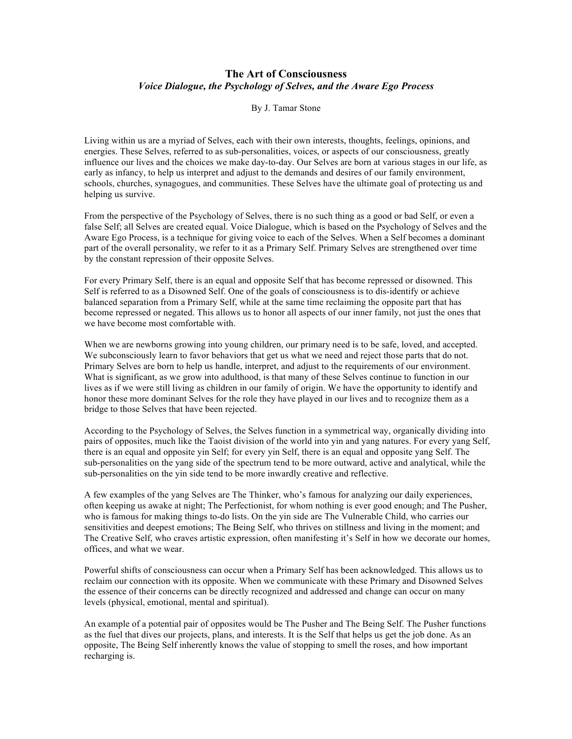## **The Art of Consciousness** *Voice Dialogue, the Psychology of Selves, and the Aware Ego Process*

By J. Tamar Stone

Living within us are a myriad of Selves, each with their own interests, thoughts, feelings, opinions, and energies. These Selves, referred to as sub-personalities, voices, or aspects of our consciousness, greatly influence our lives and the choices we make day-to-day. Our Selves are born at various stages in our life, as early as infancy, to help us interpret and adjust to the demands and desires of our family environment, schools, churches, synagogues, and communities. These Selves have the ultimate goal of protecting us and helping us survive.

From the perspective of the Psychology of Selves, there is no such thing as a good or bad Self, or even a false Self; all Selves are created equal. Voice Dialogue, which is based on the Psychology of Selves and the Aware Ego Process, is a technique for giving voice to each of the Selves. When a Self becomes a dominant part of the overall personality, we refer to it as a Primary Self. Primary Selves are strengthened over time by the constant repression of their opposite Selves.

For every Primary Self, there is an equal and opposite Self that has become repressed or disowned. This Self is referred to as a Disowned Self. One of the goals of consciousness is to dis-identify or achieve balanced separation from a Primary Self, while at the same time reclaiming the opposite part that has become repressed or negated. This allows us to honor all aspects of our inner family, not just the ones that we have become most comfortable with.

When we are newborns growing into young children, our primary need is to be safe, loved, and accepted. We subconsciously learn to favor behaviors that get us what we need and reject those parts that do not. Primary Selves are born to help us handle, interpret, and adjust to the requirements of our environment. What is significant, as we grow into adulthood, is that many of these Selves continue to function in our lives as if we were still living as children in our family of origin. We have the opportunity to identify and honor these more dominant Selves for the role they have played in our lives and to recognize them as a bridge to those Selves that have been rejected.

According to the Psychology of Selves, the Selves function in a symmetrical way, organically dividing into pairs of opposites, much like the Taoist division of the world into yin and yang natures. For every yang Self, there is an equal and opposite yin Self; for every yin Self, there is an equal and opposite yang Self. The sub-personalities on the yang side of the spectrum tend to be more outward, active and analytical, while the sub-personalities on the yin side tend to be more inwardly creative and reflective.

A few examples of the yang Selves are The Thinker, who's famous for analyzing our daily experiences, often keeping us awake at night; The Perfectionist, for whom nothing is ever good enough; and The Pusher, who is famous for making things to-do lists. On the yin side are The Vulnerable Child, who carries our sensitivities and deepest emotions; The Being Self, who thrives on stillness and living in the moment; and The Creative Self, who craves artistic expression, often manifesting it's Self in how we decorate our homes, offices, and what we wear.

Powerful shifts of consciousness can occur when a Primary Self has been acknowledged. This allows us to reclaim our connection with its opposite. When we communicate with these Primary and Disowned Selves the essence of their concerns can be directly recognized and addressed and change can occur on many levels (physical, emotional, mental and spiritual).

An example of a potential pair of opposites would be The Pusher and The Being Self. The Pusher functions as the fuel that dives our projects, plans, and interests. It is the Self that helps us get the job done. As an opposite, The Being Self inherently knows the value of stopping to smell the roses, and how important recharging is.